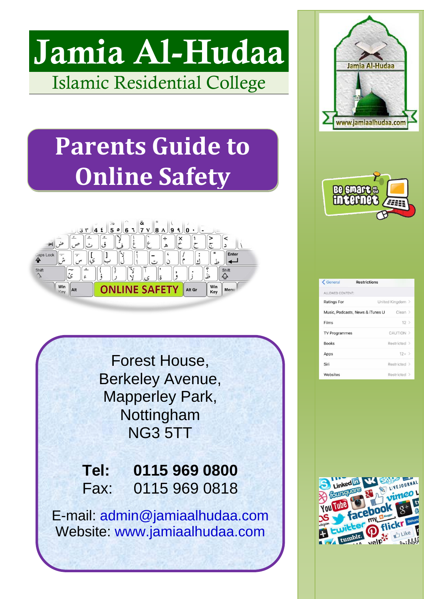# **Jamia Al-Hudaa** Islamic Residential College

# **Parents Guide to Online Safety**



Forest House, Berkeley Avenue, Mapperley Park, Nottingham NG3 5TT

**Tel: 0115 969 0800** Fax: 0115 969 0818

E-mail: admin@jamiaalhudaa.com Website: [www.jamiaalhudaa.com](http://www.jamiaalhudaa.com/)





| ← General                                   | <b>Restrictions</b> |              |  |
|---------------------------------------------|---------------------|--------------|--|
| ALLOWED CONTENT:                            |                     |              |  |
| <b>Ratings For</b>                          | United Kingdom >    |              |  |
| Clear ><br>Music, Podcasts, News & iTunes U |                     |              |  |
| Films                                       |                     | $12$ >       |  |
| <b>TV Programmes</b>                        |                     | CAUTION >    |  |
| <b>Books</b>                                |                     | Restricted > |  |
| Apps                                        |                     | $12+$ >      |  |
| Siri                                        |                     | Restricted > |  |
| Websites                                    |                     | Restricted > |  |

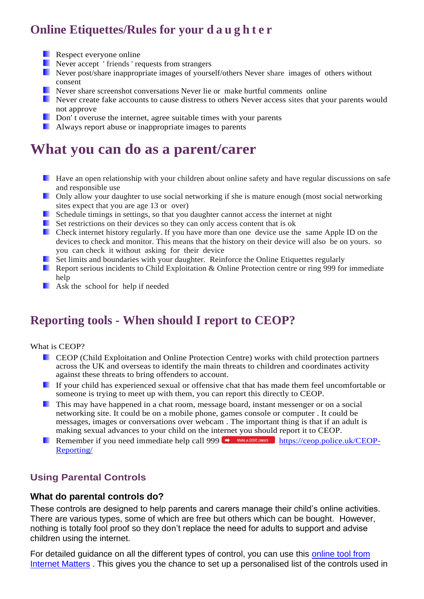## **Online Etiquettes/Rules for your d a u g h t e r**

- **Respect everyone online**
- **Never accept** ' friends ' requests from strangers
- Never post/share inappropriate images of yourself/others Never share images of others without consent
- Never share screenshot conversations Never lie or make hurtful comments online
- Never create fake accounts to cause distress to others Never access sites that your parents would not approve
- Don't overuse the internet, agree suitable times with your parents
- **Always report abuse or inappropriate images to parents**

# **What you can do as a parent/carer**

- **Have an open relationship with your children about online safety and have regular discussions on safe** and responsible use
- **Delay allow your daughter to use social networking if she is mature enough (most social networking** sites expect that you are age 13 or over)
- Schedule timings in settings, so that you daughter cannot access the internet at night
- Set restrictions on their devices so they can only access content that is ok
- **Check internet history regularly.** If you have more than one device use the same Apple ID on the devices to check and monitor. This means that the history on their device will also be on yours. so you can check it without asking for their device
- **Set limits and boundaries with your daughter. Reinforce the Online Etiquettes regularly**
- Report serious incidents to Child Exploitation & Online Protection centre or ring 999 for immediate help
- **Ask** the school for help if needed

### **Reporting tools - When should I report to CEOP?**

#### What is CEOP?

- CEOP (Child Exploitation and Online Protection Centre) works with child protection partners across the UK and overseas to identify the main threats to children and coordinates activity against these threats to bring offenders to account.
- If your child has experienced sexual or offensive chat that has made them feel uncomfortable or someone is trying to meet up with them, you can report this directly to CEOP.
- This may have happened in a chat room, message board, instant messenger or on a social networking site. It could be on a mobile phone, games console or computer . It could be messages, images or conversations over webcam . The important thing is that if an adult is making sexual advances to your child on the internet you should report it to CEOP.
- Remember if you need immediate help call 999  $\rightarrow$  Make a CEOP report [https://ceop.police.uk/CEOP-](https://ceop.police.uk/CEOP-Reporting/)[Reporting/](https://ceop.police.uk/CEOP-Reporting/)

#### **Using Parental Controls**

#### **What do parental controls do?**

These controls are designed to help parents and carers manage their child's online activities. There are various types, some of which are free but others which can be bought. However, nothing is totally fool proof so they don't replace the need for adults to support and advise children using the internet.

For detailed guidance on all the different types of control, you can use this [online tool from](http://www.internetmatters.org/controls/interactive-guide/)  [Internet Matters](http://www.internetmatters.org/controls/interactive-guide/) . This gives you the chance to set up a personalised list of the controls used in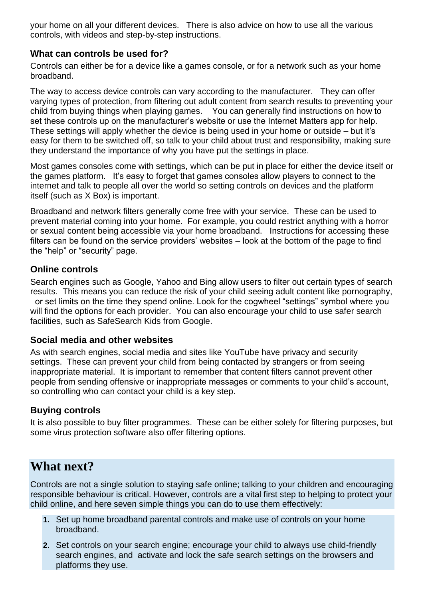your home on all your different devices. There is also advice on how to use all the various controls, with videos and step-by-step instructions.

#### **What can controls be used for?**

Controls can either be for a device like a games console, or for a network such as your home broadband.

The way to access device controls can vary according to the manufacturer. They can offer varying types of protection, from filtering out adult content from search results to preventing your child from buying things when playing games. You can generally find instructions on how to set these controls up on the manufacturer's website or use the Internet Matters app for help. These settings will apply whether the device is being used in your home or outside – but it's easy for them to be switched off, so talk to your child about trust and responsibility, making sure they understand the importance of why you have put the settings in place.

Most games consoles come with settings, which can be put in place for either the device itself or the games platform. It's easy to forget that games consoles allow players to connect to the internet and talk to people all over the world so setting controls on devices and the platform itself (such as X Box) is important.

Broadband and network filters generally come free with your service. These can be used to prevent material coming into your home. For example, you could restrict anything with a horror or sexual content being accessible via your home broadband. Instructions for accessing these filters can be found on the service providers' websites – look at the bottom of the page to find the "help" or "security" page.

#### **Online controls**

Search engines such as Google, Yahoo and Bing allow users to filter out certain types of search results. This means you can reduce the risk of your child seeing adult content like pornography, or set limits on the time they spend online. Look for the cogwheel "settings" symbol where you will find the options for each provider. You can also encourage your child to use safer search facilities, such as SafeSearch Kids from Google.

#### **Social media and other websites**

As with search engines, social media and sites like YouTube have privacy and security settings. These can prevent your child from being contacted by strangers or from seeing inappropriate material. It is important to remember that content filters cannot prevent other people from sending offensive or inappropriate messages or comments to your child's account, so controlling who can contact your child is a key step.

#### **Buying controls**

It is also possible to buy filter programmes. These can be either solely for filtering purposes, but some virus protection software also offer filtering options.

### **What next?**

Controls are not a single solution to staying safe online; talking to your children and encouraging responsible behaviour is critical. However, controls are a vital first step to helping to protect your child online, and here seven simple things you can do to use them effectively:

- **1.** Set up home broadband parental controls and make use of controls on your home broadband.
- **2.** Set controls on your search engine; encourage your child to always use child-friendly search engines, and activate and lock the safe search settings on the browsers and platforms they use.